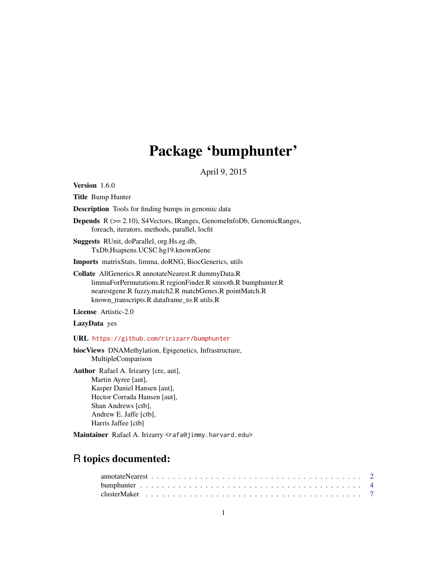# Package 'bumphunter'

April 9, 2015

<span id="page-0-0"></span>Version 1.6.0

Title Bump Hunter

Description Tools for finding bumps in genomic data

Depends R (>= 2.10), S4Vectors, IRanges, GenomeInfoDb, GenomicRanges, foreach, iterators, methods, parallel, locfit

Suggests RUnit, doParallel, org.Hs.eg.db, TxDb.Hsapiens.UCSC.hg19.knownGene

Imports matrixStats, limma, doRNG, BiocGenerics, utils

Collate AllGenerics.R annotateNearest.R dummyData.R limmaForPermutations.R regionFinder.R smooth.R bumphunter.R nearestgene.R fuzzy.match2.R matchGenes.R pointMatch.R known\_transcripts.R dataframe\_to.R utils.R

License Artistic-2.0

LazyData yes

URL <https://github.com/ririzarr/bumphunter>

biocViews DNAMethylation, Epigenetics, Infrastructure, MultipleComparison

Author Rafael A. Irizarry [cre, aut], Martin Ayree [aut], Kasper Daniel Hansen [aut], Hector Corrada Hansen [aut], Shan Andrews [ctb], Andrew E. Jaffe [ctb], Harris Jaffee [ctb]

Maintainer Rafael A. Irizarry <rafa@jimmy.harvard.edu>

# R topics documented: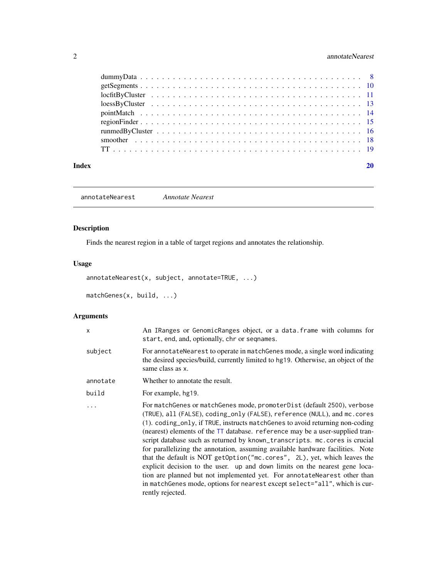# <span id="page-1-0"></span>2 annotateNearest

| Index |  |
|-------|--|
|       |  |
|       |  |
|       |  |
|       |  |
|       |  |
|       |  |
|       |  |
|       |  |
|       |  |

annotateNearest *Annotate Nearest*

# Description

Finds the nearest region in a table of target regions and annotates the relationship.

# Usage

```
annotateNearest(x, subject, annotate=TRUE, ...)
matchGenes(x, build, ...)
```

| X        | An IRanges or GenomicRanges object, or a data. frame with columns for<br>start, end, and, optionally, chr or seqnames.                                                                                                                                                                                                                                                                                                                                                                                                                                                                                                                                                                                                                                                                                                           |
|----------|----------------------------------------------------------------------------------------------------------------------------------------------------------------------------------------------------------------------------------------------------------------------------------------------------------------------------------------------------------------------------------------------------------------------------------------------------------------------------------------------------------------------------------------------------------------------------------------------------------------------------------------------------------------------------------------------------------------------------------------------------------------------------------------------------------------------------------|
| subject  | For annotate Nearest to operate in match Genes mode, a single word indicating<br>the desired species/build, currently limited to hg19. Otherwise, an object of the<br>same class as x.                                                                                                                                                                                                                                                                                                                                                                                                                                                                                                                                                                                                                                           |
| annotate | Whether to annotate the result.                                                                                                                                                                                                                                                                                                                                                                                                                                                                                                                                                                                                                                                                                                                                                                                                  |
| build    | For example, hg19.                                                                                                                                                                                                                                                                                                                                                                                                                                                                                                                                                                                                                                                                                                                                                                                                               |
| $\ddots$ | For matchGenes or matchGenes mode, promoterDist (default 2500), verbose<br>(TRUE), all (FALSE), coding_only (FALSE), reference (NULL), and mc. cores<br>(1). coding_only, if TRUE, instructs matchGenes to avoid returning non-coding<br>(nearest) elements of the TT database. reference may be a user-supplied tran-<br>script database such as returned by known_transcripts. mc.cores is crucial<br>for parallelizing the annotation, assuming available hardware facilities. Note<br>that the default is NOT getOption("mc.cores", 2L), yet, which leaves the<br>explicit decision to the user. up and down limits on the nearest gene loca-<br>tion are planned but not implemented yet. For annotate Nearest other than<br>in matchGenes mode, options for nearest except select="all", which is cur-<br>rently rejected. |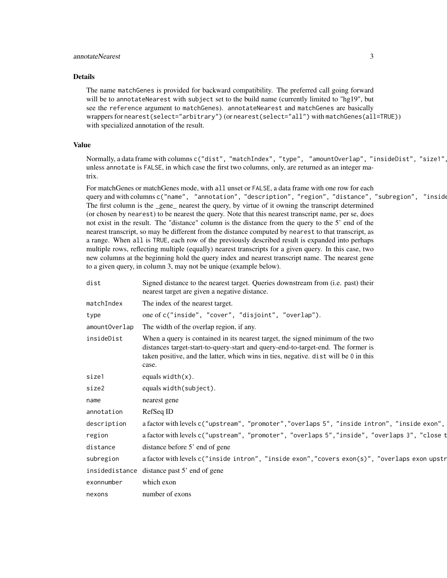# annotateNearest 3

#### Details

The name matchGenes is provided for backward compatibility. The preferred call going forward will be to annotateNearest with subject set to the build name (currently limited to "hg19", but see the reference argument to matchGenes). annotateNearest and matchGenes are basically wrappers for nearest(select="arbitrary") (or nearest(select="all") with matchGenes(all=TRUE)) with specialized annotation of the result.

# Value

Normally, a data frame with columns c("dist", "matchIndex", "type", "amountOverlap", "insideDist", "size1" unless annotate is FALSE, in which case the first two columns, only, are returned as an integer matrix.

For matchGenes or matchGenes mode, with all unset or FALSE, a data frame with one row for each query and with columns c("name", "annotation", "description", "region", "distance", "subregion", "inside The first column is the \_gene\_ nearest the query, by virtue of it owning the transcript determined (or chosen by nearest) to be nearest the query. Note that this nearest transcript name, per se, does not exist in the result. The "distance" column is the distance from the query to the 5' end of the nearest transcript, so may be different from the distance computed by nearest to that transcript, as a range. When all is TRUE, each row of the previously described result is expanded into perhaps multiple rows, reflecting multiple (equally) nearest transcripts for a given query. In this case, two new columns at the beginning hold the query index and nearest transcript name. The nearest gene to a given query, in column 3, may not be unique (example below).

| dist           | Signed distance to the nearest target. Queries downstream from (i.e. past) their<br>nearest target are given a negative distance.                                                                                                                                   |
|----------------|---------------------------------------------------------------------------------------------------------------------------------------------------------------------------------------------------------------------------------------------------------------------|
| matchIndex     | The index of the nearest target.                                                                                                                                                                                                                                    |
| type           | one of c("inside", "cover", "disjoint", "overlap").                                                                                                                                                                                                                 |
| amountOverlap  | The width of the overlap region, if any.                                                                                                                                                                                                                            |
| insideDist     | When a query is contained in its nearest target, the signed minimum of the two<br>distances target-start-to-query-start and query-end-to-target-end. The former is<br>taken positive, and the latter, which wins in ties, negative. dist will be 0 in this<br>case. |
| size1          | equals $width(x)$ .                                                                                                                                                                                                                                                 |
| size2          | equals width(subject).                                                                                                                                                                                                                                              |
| name           | nearest gene                                                                                                                                                                                                                                                        |
| annotation     | RefSeq ID                                                                                                                                                                                                                                                           |
| description    | a factor with levels c("upstream", "promoter", "overlaps 5", "inside intron", "inside exon",                                                                                                                                                                        |
| region         | a factor with levels c("upstream", "promoter", "overlaps 5","inside", "overlaps 3", "close t                                                                                                                                                                        |
| distance       | distance before 5' end of gene                                                                                                                                                                                                                                      |
| subregion      | a factor with levels c("inside intron", "inside exon", "covers exon(s)", "overlaps exon upstr                                                                                                                                                                       |
| insidedistance | distance past 5' end of gene                                                                                                                                                                                                                                        |
| exonnumber     | which exon                                                                                                                                                                                                                                                          |
| nexons         | number of exons                                                                                                                                                                                                                                                     |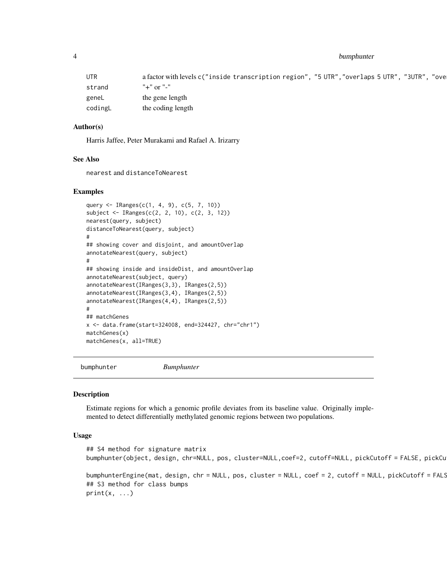<span id="page-3-0"></span>4 bumphunter

| UTR     | a factor with levels c("inside transcription region", "5 UTR", "overlaps 5 UTR", "3UTR",<br>"ove |
|---------|--------------------------------------------------------------------------------------------------|
| strand  | "+" or "-"                                                                                       |
| geneL   | the gene length                                                                                  |
| codingL | the coding length                                                                                |

#### Author(s)

Harris Jaffee, Peter Murakami and Rafael A. Irizarry

#### See Also

nearest and distanceToNearest

#### Examples

```
query <- IRanges(c(1, 4, 9), c(5, 7, 10))
subject <- IRanges(c(2, 2, 10), c(2, 3, 12))
nearest(query, subject)
distanceToNearest(query, subject)
#
## showing cover and disjoint, and amountOverlap
annotateNearest(query, subject)
#
## showing inside and insideDist, and amountOverlap
annotateNearest(subject, query)
annotateNearest(IRanges(3,3), IRanges(2,5))
annotateNearest(IRanges(3,4), IRanges(2,5))
annotateNearest(IRanges(4,4), IRanges(2,5))
#
## matchGenes
x <- data.frame(start=324008, end=324427, chr="chr1")
matchGenes(x)
matchGenes(x, all=TRUE)
```
<span id="page-3-1"></span>bumphunter *Bumphunter*

#### Description

Estimate regions for which a genomic profile deviates from its baseline value. Originally implemented to detect differentially methylated genomic regions between two populations.

```
## S4 method for signature matrix
bumphunter(object, design, chr=NULL, pos, cluster=NULL, coef=2, cutoff=NULL, pickCutoff = FALSE, pickCu
bumphunterEngine(mat, design, chr = NULL, pos, cluster = NULL, coef = 2, cutoff = NULL, pickCutoff = FALS
## S3 method for class bumps
print(x, \ldots)
```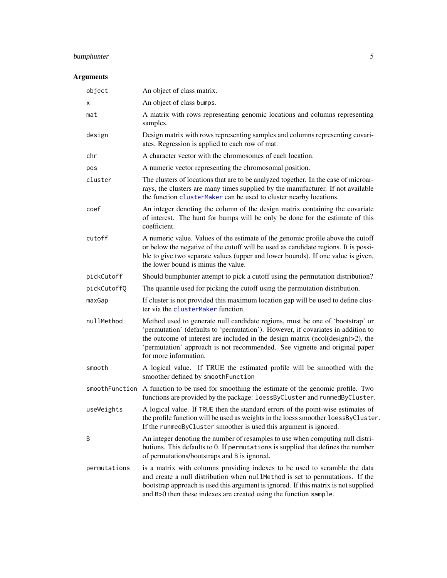# bumphunter 5

| object       | An object of class matrix.                                                                                                                                                                                                                                                                                                                                  |
|--------------|-------------------------------------------------------------------------------------------------------------------------------------------------------------------------------------------------------------------------------------------------------------------------------------------------------------------------------------------------------------|
| х            | An object of class bumps.                                                                                                                                                                                                                                                                                                                                   |
| mat          | A matrix with rows representing genomic locations and columns representing<br>samples.                                                                                                                                                                                                                                                                      |
| design       | Design matrix with rows representing samples and columns representing covari-<br>ates. Regression is applied to each row of mat.                                                                                                                                                                                                                            |
| chr          | A character vector with the chromosomes of each location.                                                                                                                                                                                                                                                                                                   |
| pos          | A numeric vector representing the chromosomal position.                                                                                                                                                                                                                                                                                                     |
| cluster      | The clusters of locations that are to be analyzed together. In the case of microar-<br>rays, the clusters are many times supplied by the manufacturer. If not available<br>the function clusterMaker can be used to cluster nearby locations.                                                                                                               |
| coef         | An integer denoting the column of the design matrix containing the covariate<br>of interest. The hunt for bumps will be only be done for the estimate of this<br>coefficient.                                                                                                                                                                               |
| cutoff       | A numeric value. Values of the estimate of the genomic profile above the cutoff<br>or below the negative of the cutoff will be used as candidate regions. It is possi-<br>ble to give two separate values (upper and lower bounds). If one value is given,<br>the lower bound is minus the value.                                                           |
| pickCutoff   | Should bumphunter attempt to pick a cutoff using the permutation distribution?                                                                                                                                                                                                                                                                              |
| pickCutoffQ  | The quantile used for picking the cutoff using the permutation distribution.                                                                                                                                                                                                                                                                                |
| maxGap       | If cluster is not provided this maximum location gap will be used to define clus-<br>ter via the clusterMaker function.                                                                                                                                                                                                                                     |
| nullMethod   | Method used to generate null candidate regions, must be one of 'bootstrap' or<br>'permutation' (defaults to 'permutation'). However, if covariates in addition to<br>the outcome of interest are included in the design matrix (ncol(design)>2), the<br>'permutation' approach is not recommended. See vignette and original paper<br>for more information. |
| smooth       | A logical value. If TRUE the estimated profile will be smoothed with the<br>smoother defined by smoothFunction                                                                                                                                                                                                                                              |
|              | smooth Function A function to be used for smoothing the estimate of the genomic profile. Two<br>functions are provided by the package: loessByCluster and runmedByCluster.                                                                                                                                                                                  |
| useWeights   | A logical value. If TRUE then the standard errors of the point-wise estimates of<br>the profile function will be used as weights in the loess smoother loessByCluster.<br>If the runmedByCluster smoother is used this argument is ignored.                                                                                                                 |
| B            | An integer denoting the number of resamples to use when computing null distri-<br>butions. This defaults to 0. If permutations is supplied that defines the number<br>of permutations/bootstraps and B is ignored.                                                                                                                                          |
| permutations | is a matrix with columns providing indexes to be used to scramble the data<br>and create a null distribution when nullMethod is set to permutations. If the<br>bootstrap approach is used this argument is ignored. If this matrix is not supplied<br>and B>0 then these indexes are created using the function sample.                                     |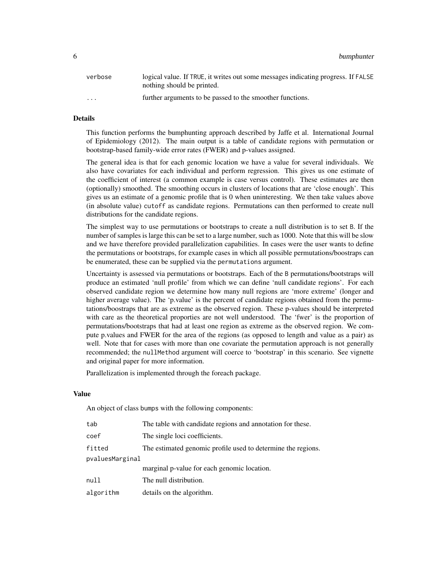6 bumphunter

| verbose  | logical value. If TRUE, it writes out some messages indicating progress. If FALSE<br>nothing should be printed. |
|----------|-----------------------------------------------------------------------------------------------------------------|
| $\cdots$ | further arguments to be passed to the smoother functions.                                                       |

# Details

This function performs the bumphunting approach described by Jaffe et al. International Journal of Epidemiology (2012). The main output is a table of candidate regions with permutation or bootstrap-based family-wide error rates (FWER) and p-values assigned.

The general idea is that for each genomic location we have a value for several individuals. We also have covariates for each individual and perform regression. This gives us one estimate of the coefficient of interest (a common example is case versus control). These estimates are then (optionally) smoothed. The smoothing occurs in clusters of locations that are 'close enough'. This gives us an estimate of a genomic profile that is 0 when uninteresting. We then take values above (in absolute value) cutoff as candidate regions. Permutations can then performed to create null distributions for the candidate regions.

The simplest way to use permutations or bootstraps to create a null distribution is to set B. If the number of samples is large this can be set to a large number, such as 1000. Note that this will be slow and we have therefore provided parallelization capabilities. In cases were the user wants to define the permutations or bootstraps, for example cases in which all possible permutations/boostraps can be enumerated, these can be supplied via the permutations argument.

Uncertainty is assessed via permutations or bootstraps. Each of the B permutations/bootstraps will produce an estimated 'null profile' from which we can define 'null candidate regions'. For each observed candidate region we determine how many null regions are 'more extreme' (longer and higher average value). The 'p.value' is the percent of candidate regions obtained from the permutations/boostraps that are as extreme as the observed region. These p-values should be interpreted with care as the theoretical proporties are not well understood. The 'fwer' is the proportion of permutations/bootstraps that had at least one region as extreme as the observed region. We compute p.values and FWER for the area of the regions (as opposed to length and value as a pair) as well. Note that for cases with more than one covariate the permutation approach is not generally recommended; the nullMethod argument will coerce to 'bootstrap' in this scenario. See vignette and original paper for more information.

Parallelization is implemented through the foreach package.

#### Value

An object of class bumps with the following components:

| tab             | The table with candidate regions and annotation for these.   |
|-----------------|--------------------------------------------------------------|
| coef            | The single loci coefficients.                                |
| fitted          | The estimated genomic profile used to determine the regions. |
| pvaluesMarginal |                                                              |
|                 | marginal p-value for each genomic location.                  |
| null            | The null distribution.                                       |
| algorithm       | details on the algorithm.                                    |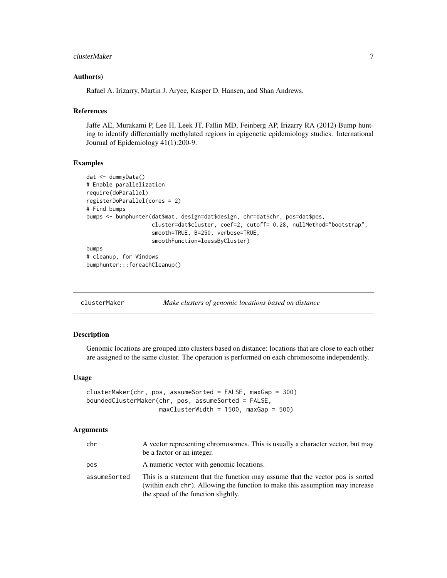#### <span id="page-6-0"></span>clusterMaker 7 and 2008 and 2008 and 2008 and 2008 and 2008 and 2008 and 2008 and 2008 and 2008 and 2008 and 20

#### Author(s)

Rafael A. Irizarry, Martin J. Aryee, Kasper D. Hansen, and Shan Andrews.

#### References

Jaffe AE, Murakami P, Lee H, Leek JT, Fallin MD, Feinberg AP, Irizarry RA (2012) Bump hunting to identify differentially methylated regions in epigenetic epidemiology studies. International Journal of Epidemiology 41(1):200-9.

#### Examples

```
dat <- dummyData()
# Enable parallelization
require(doParallel)
registerDoParallel(cores = 2)
# Find bumps
bumps <- bumphunter(dat$mat, design=dat$design, chr=dat$chr, pos=dat$pos,
                    cluster=dat$cluster, coef=2, cutoff= 0.28, nullMethod="bootstrap",
                    smooth=TRUE, B=250, verbose=TRUE,
                    smoothFunction=loessByCluster)
bumps
# cleanup, for Windows
bumphunter:::foreachCleanup()
```
<span id="page-6-1"></span>

| clusterMaker |  |  | Make clusters of genomic locations based on distance |  |
|--------------|--|--|------------------------------------------------------|--|
|--------------|--|--|------------------------------------------------------|--|

#### Description

Genomic locations are grouped into clusters based on distance: locations that are close to each other are assigned to the same cluster. The operation is performed on each chromosome independently.

#### Usage

```
clusterMaker(chr, pos, assumeSorted = FALSE, maxGap = 300)
boundedClusterMaker(chr, pos, assumeSorted = FALSE,
                   maxClusterWidth = 1500, maxGap = 500)
```

| chr          | A vector representing chromosomes. This is usually a character vector, but may<br>be a factor or an integer.                                                                                           |
|--------------|--------------------------------------------------------------------------------------------------------------------------------------------------------------------------------------------------------|
| pos          | A numeric vector with genomic locations.                                                                                                                                                               |
| assumeSorted | This is a statement that the function may assume that the vector pos is sorted<br>(within each chr). Allowing the function to make this assumption may increase<br>the speed of the function slightly. |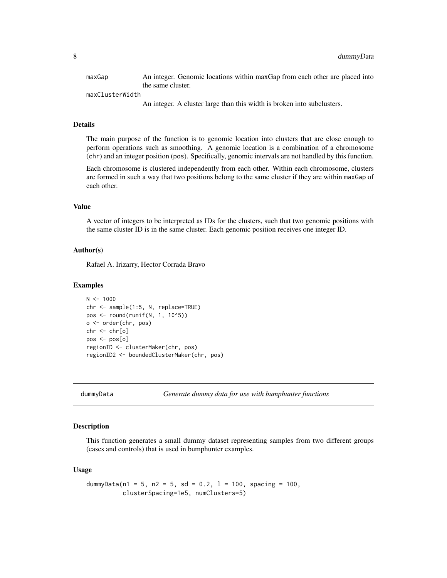<span id="page-7-0"></span>

| maxGap          | An integer. Genomic locations within maxGap from each other are placed into |
|-----------------|-----------------------------------------------------------------------------|
|                 | the same cluster.                                                           |
| maxClusterWidth |                                                                             |
|                 | An integer. A cluster large than this width is broken into subclusters.     |

# Details

The main purpose of the function is to genomic location into clusters that are close enough to perform operations such as smoothing. A genomic location is a combination of a chromosome (chr) and an integer position (pos). Specifically, genomic intervals are not handled by this function.

Each chromosome is clustered independently from each other. Within each chromosome, clusters are formed in such a way that two positions belong to the same cluster if they are within maxGap of each other.

# Value

A vector of integers to be interpreted as IDs for the clusters, such that two genomic positions with the same cluster ID is in the same cluster. Each genomic position receives one integer ID.

#### Author(s)

Rafael A. Irizarry, Hector Corrada Bravo

#### Examples

```
N < - 1000chr <- sample(1:5, N, replace=TRUE)
pos <- round(runif(N, 1, 10^5))
o <- order(chr, pos)
chr <- chr[o]
pos <- pos[o]
regionID <- clusterMaker(chr, pos)
regionID2 <- boundedClusterMaker(chr, pos)
```
#### Description

This function generates a small dummy dataset representing samples from two different groups (cases and controls) that is used in bumphunter examples.

$$
dummyData(n1 = 5, n2 = 5, sd = 0.2, l = 100, spacing = 100, clustering = 100, clustering = 105, numClusters = 5)
$$

dummyData *Generate dummy data for use with bumphunter functions*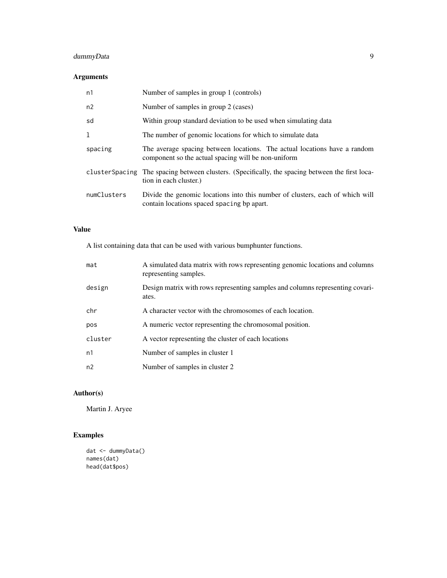# dummyData 9

# Arguments

| n1          | Number of samples in group 1 (controls)                                                                                          |
|-------------|----------------------------------------------------------------------------------------------------------------------------------|
| n2          | Number of samples in group 2 (cases)                                                                                             |
| sd          | Within group standard deviation to be used when simulating data                                                                  |
| 1           | The number of genomic locations for which to simulate data                                                                       |
| spacing     | The average spacing between locations. The actual locations have a random<br>component so the actual spacing will be non-uniform |
|             | cluster Spacing The spacing between clusters. (Specifically, the spacing between the first loca-<br>tion in each cluster.)       |
| numClusters | Divide the genomic locations into this number of clusters, each of which will<br>contain locations spaced spacing bp apart.      |

# Value

A list containing data that can be used with various bumphunter functions.

| mat     | A simulated data matrix with rows representing genomic locations and columns<br>representing samples. |
|---------|-------------------------------------------------------------------------------------------------------|
| design  | Design matrix with rows representing samples and columns representing covari-<br>ates.                |
| chr     | A character vector with the chromosomes of each location.                                             |
| pos     | A numeric vector representing the chromosomal position.                                               |
| cluster | A vector representing the cluster of each locations                                                   |
| n1      | Number of samples in cluster 1                                                                        |
| n2      | Number of samples in cluster 2                                                                        |

# Author(s)

Martin J. Aryee

# Examples

```
dat <- dummyData()
names(dat)
head(dat$pos)
```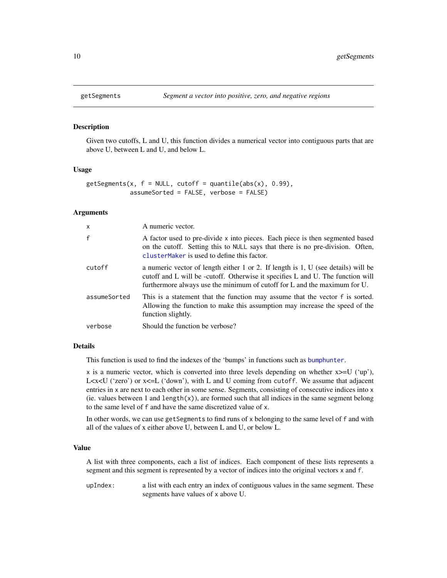#### Description

Given two cutoffs, L and U, this function divides a numerical vector into contiguous parts that are above U, between L and U, and below L.

#### Usage

```
getSegments(x, f = NULL, cutoff = quantile(abs(x), 0.99),assumeSorted = FALSE, verbose = FALSE)
```
# Arguments

| $\mathsf{x}$ | A numeric vector.                                                                                                                                                                                                                                 |
|--------------|---------------------------------------------------------------------------------------------------------------------------------------------------------------------------------------------------------------------------------------------------|
| $\mathsf{f}$ | A factor used to pre-divide x into pieces. Each piece is then segmented based<br>on the cutoff. Setting this to NULL says that there is no pre-division. Often,<br>cluster Maker is used to define this factor.                                   |
| cutoff       | a numeric vector of length either 1 or 2. If length is 1, U (see details) will be<br>cutoff and L will be -cutoff. Otherwise it specifies L and U. The function will<br>furthermore always use the minimum of cutoff for L and the maximum for U. |
| assumeSorted | This is a statement that the function may assume that the vector f is sorted.<br>Allowing the function to make this assumption may increase the speed of the<br>function slightly.                                                                |
| verbose      | Should the function be verbose?                                                                                                                                                                                                                   |

#### Details

This function is used to find the indexes of the 'bumps' in functions such as [bumphunter](#page-3-1).

x is a numeric vector, which is converted into three levels depending on whether x>=U ('up'), L $\langle$ x $\langle$ U ('zero') or x $\langle$ =L ('down'), with L and U coming from cutoff. We assume that adjacent entries in x are next to each other in some sense. Segments, consisting of consecutive indices into x (ie. values between 1 and  $length(x)$ ), are formed such that all indices in the same segment belong to the same level of f and have the same discretized value of x.

In other words, we can use getSegments to find runs of x belonging to the same level of f and with all of the values of x either above U, between L and U, or below L.

# Value

A list with three components, each a list of indices. Each component of these lists represents a segment and this segment is represented by a vector of indices into the original vectors x and f.

upIndex: a list with each entry an index of contiguous values in the same segment. These segments have values of x above U.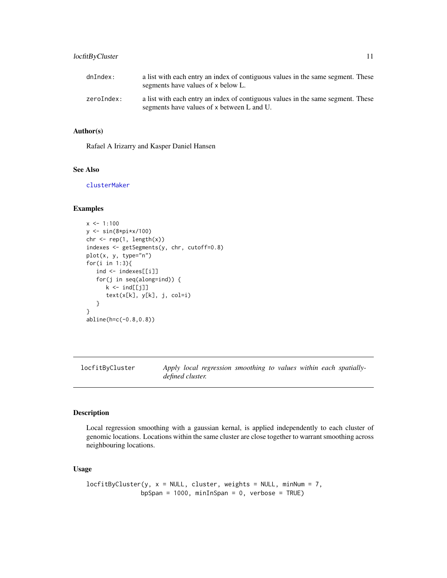# <span id="page-10-0"></span>locfitByCluster 11

| dnIndex:   | a list with each entry an index of contiguous values in the same segment. These<br>segments have values of x below L.         |  |
|------------|-------------------------------------------------------------------------------------------------------------------------------|--|
| zeroIndex: | a list with each entry an index of contiguous values in the same segment. These<br>segments have values of x between L and U. |  |

#### Author(s)

Rafael A Irizarry and Kasper Daniel Hansen

# See Also

[clusterMaker](#page-6-1)

# Examples

```
x < -1:100y <- sin(8*pi*x/100)
chr \leq rep(1, length(x))
indexes <- getSegments(y, chr, cutoff=0.8)
plot(x, y, type="n")
for(i in 1:3){
   ind <- indexes[[i]]
   for(j in seq(along=ind)) {
      k \leq ind[[j]]
      text(x[k], y[k], j, col=i)
   }
}
abline(h=c(-0.8,0.8))
```
<span id="page-10-1"></span>locfitByCluster *Apply local regression smoothing to values within each spatiallydefined cluster.*

#### Description

Local regression smoothing with a gaussian kernal, is applied independently to each cluster of genomic locations. Locations within the same cluster are close together to warrant smoothing across neighbouring locations.

```
locfitByCluster(y, x = NULL, cluster, weights = NULL, minNum = 7,bpSpan = 1000, minInSpan = 0, verbose = TRUE)
```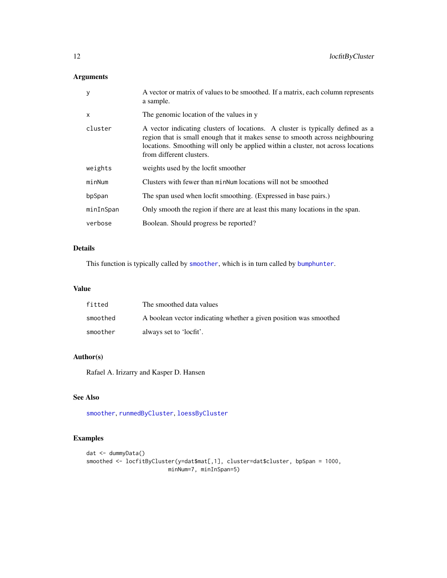# Arguments

| y            | A vector or matrix of values to be smoothed. If a matrix, each column represents<br>a sample.                                                                                                                                                                                   |
|--------------|---------------------------------------------------------------------------------------------------------------------------------------------------------------------------------------------------------------------------------------------------------------------------------|
| $\mathsf{x}$ | The genomic location of the values in y                                                                                                                                                                                                                                         |
| cluster      | A vector indicating clusters of locations. A cluster is typically defined as a<br>region that is small enough that it makes sense to smooth across neighbouring<br>locations. Smoothing will only be applied within a cluster, not across locations<br>from different clusters. |
| weights      | weights used by the locfit smoother                                                                                                                                                                                                                                             |
| minNum       | Clusters with fewer than minNum locations will not be smoothed                                                                                                                                                                                                                  |
| bpSpan       | The span used when locfit smoothing. (Expressed in base pairs.)                                                                                                                                                                                                                 |
| minInSpan    | Only smooth the region if there are at least this many locations in the span.                                                                                                                                                                                                   |
| verbose      | Boolean. Should progress be reported?                                                                                                                                                                                                                                           |

# Details

This function is typically called by [smoother](#page-17-1), which is in turn called by [bumphunter](#page-3-1).

# Value

| fitted   | The smoothed data values                                          |
|----------|-------------------------------------------------------------------|
| smoothed | A boolean vector indicating whether a given position was smoothed |
| smoother | always set to 'locfit'.                                           |

# Author(s)

Rafael A. Irizarry and Kasper D. Hansen

# See Also

[smoother](#page-17-1), [runmedByCluster](#page-15-1), [loessByCluster](#page-12-1)

# Examples

```
dat <- dummyData()
smoothed <- locfitByCluster(y=dat$mat[,1], cluster=dat$cluster, bpSpan = 1000,
                        minNum=7, minInSpan=5)
```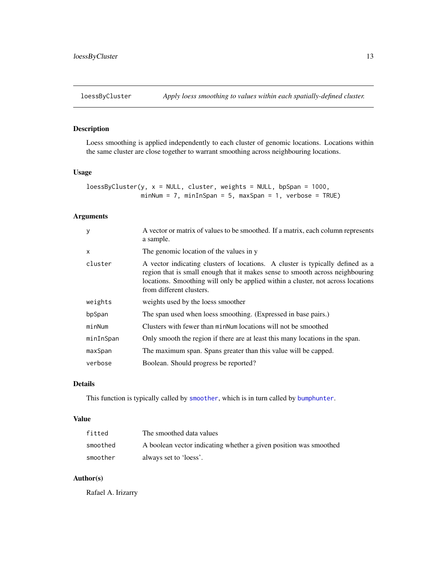# <span id="page-12-1"></span><span id="page-12-0"></span>Description

Loess smoothing is applied independently to each cluster of genomic locations. Locations within the same cluster are close together to warrant smoothing across neighbouring locations.

# Usage

```
loessByCluster(y, x = NULL, cluster, weights = NULL, bpspan = 1000,minNum = 7, minInSpan = 5, maxSpan = 1, verbose = TRUE)
```
# Arguments

| y            | A vector or matrix of values to be smoothed. If a matrix, each column represents<br>a sample.                                                                                                                                                                                   |
|--------------|---------------------------------------------------------------------------------------------------------------------------------------------------------------------------------------------------------------------------------------------------------------------------------|
| $\mathsf{x}$ | The genomic location of the values in y                                                                                                                                                                                                                                         |
| cluster      | A vector indicating clusters of locations. A cluster is typically defined as a<br>region that is small enough that it makes sense to smooth across neighbouring<br>locations. Smoothing will only be applied within a cluster, not across locations<br>from different clusters. |
| weights      | weights used by the loess smoother                                                                                                                                                                                                                                              |
| bpSpan       | The span used when loess smoothing. (Expressed in base pairs.)                                                                                                                                                                                                                  |
| minNum       | Clusters with fewer than minNum locations will not be smoothed                                                                                                                                                                                                                  |
| minInSpan    | Only smooth the region if there are at least this many locations in the span.                                                                                                                                                                                                   |
| maxSpan      | The maximum span. Spans greater than this value will be capped.                                                                                                                                                                                                                 |
| verbose      | Boolean. Should progress be reported?                                                                                                                                                                                                                                           |

# Details

This function is typically called by [smoother](#page-17-1), which is in turn called by [bumphunter](#page-3-1).

#### Value

| fitted   | The smoothed data values                                          |
|----------|-------------------------------------------------------------------|
| smoothed | A boolean vector indicating whether a given position was smoothed |
| smoother | always set to 'loess'.                                            |

# Author(s)

Rafael A. Irizarry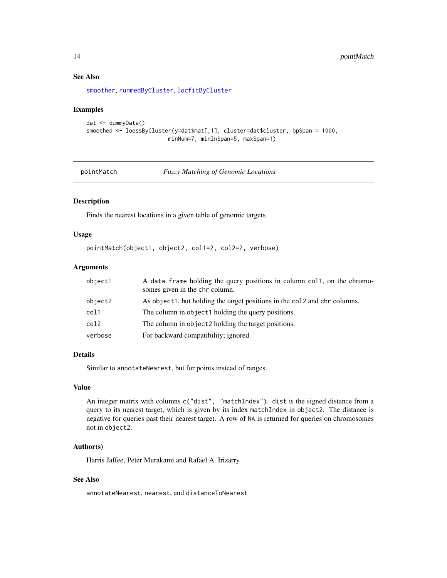# See Also

[smoother](#page-17-1), [runmedByCluster](#page-15-1), [locfitByCluster](#page-10-1)

#### Examples

```
dat <- dummyData()
smoothed <- loessByCluster(y=dat$mat[,1], cluster=dat$cluster, bpSpan = 1000,
                         minNum=7, minInSpan=5, maxSpan=1)
```
pointMatch *Fuzzy Matching of Genomic Locations*

# Description

Finds the nearest locations in a given table of genomic targets

#### Usage

```
pointMatch(object1, object2, col1=2, col2=2, verbose)
```
# Arguments

| object1 | A data frame holding the query positions in column col1, on the chromo-<br>somes given in the chr column. |
|---------|-----------------------------------------------------------------------------------------------------------|
| object2 | As object1, but holding the target positions in the col2 and chr columns.                                 |
| col1    | The column in object1 holding the query positions.                                                        |
| col2    | The column in object 2 holding the target positions.                                                      |
| verbose | For backward compatibility; ignored.                                                                      |

#### Details

Similar to annotateNearest, but for points instead of ranges.

#### Value

An integer matrix with columns c("dist", "matchIndex"). dist is the signed distance from a query to its nearest target, which is given by its index matchIndex in object2. The distance is negative for queries past their nearest target. A row of NA is returned for queries on chromosomes not in object2.

# Author(s)

Harris Jaffee, Peter Murakami and Rafael A. Irizarry

# See Also

annotateNearest, nearest, and distanceToNearest

<span id="page-13-0"></span>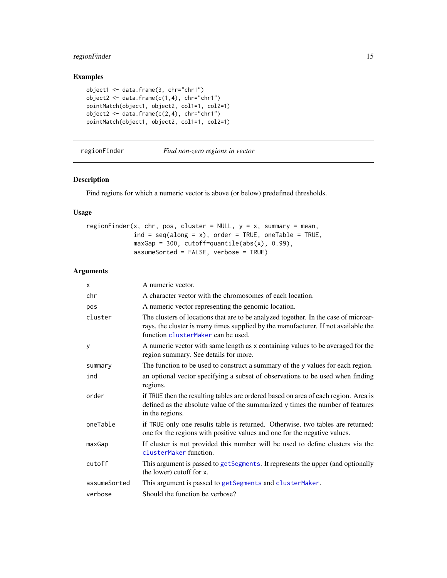# <span id="page-14-0"></span>regionFinder 15

# Examples

```
object1 <- data.frame(3, chr="chr1")
object2 <- data.frame(c(1,4), chr="chr1")pointMatch(object1, object2, col1=1, col2=1)
object2 <- data.frame(c(2,4), chr="chr1")pointMatch(object1, object2, col1=1, col2=1)
```
#### regionFinder *Find non-zero regions in vector*

#### Description

Find regions for which a numeric vector is above (or below) predefined thresholds.

# Usage

```
regionFinder(x, chr, pos, cluster = NULL, y = x, summary = mean,
            ind = seq(along = x), order = TRUE, oneTable = TRUE,
            maxGap = 300, cutoff=quantile(abs(x), 0.99),
            assumeSorted = FALSE, verbose = TRUE)
```

| X            | A numeric vector.                                                                                                                                                                                               |
|--------------|-----------------------------------------------------------------------------------------------------------------------------------------------------------------------------------------------------------------|
| chr          | A character vector with the chromosomes of each location.                                                                                                                                                       |
| pos          | A numeric vector representing the genomic location.                                                                                                                                                             |
| cluster      | The clusters of locations that are to be analyzed together. In the case of microar-<br>rays, the cluster is many times supplied by the manufacturer. If not available the<br>function clusterMaker can be used. |
| y            | A numeric vector with same length as x containing values to be averaged for the<br>region summary. See details for more.                                                                                        |
| summary      | The function to be used to construct a summary of the y values for each region.                                                                                                                                 |
| ind          | an optional vector specifying a subset of observations to be used when finding<br>regions.                                                                                                                      |
| order        | if TRUE then the resulting tables are ordered based on area of each region. Area is<br>defined as the absolute value of the summarized y times the number of features<br>in the regions.                        |
| oneTable     | if TRUE only one results table is returned. Otherwise, two tables are returned:<br>one for the regions with positive values and one for the negative values.                                                    |
| maxGap       | If cluster is not provided this number will be used to define clusters via the<br>clusterMaker function.                                                                                                        |
| cutoff       | This argument is passed to getSegments. It represents the upper (and optionally<br>the lower) cutoff for x.                                                                                                     |
| assumeSorted | This argument is passed to getSegments and clusterMaker.                                                                                                                                                        |
| verbose      | Should the function be verbose?                                                                                                                                                                                 |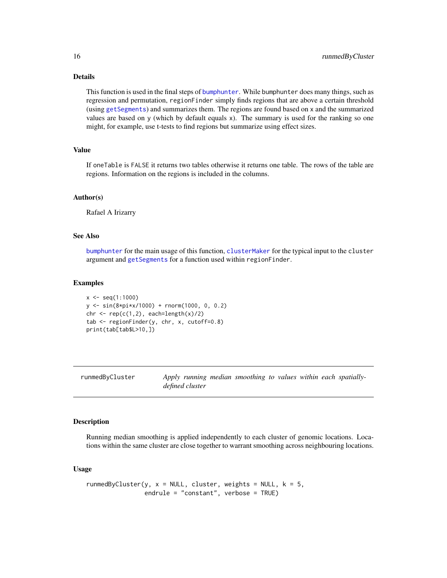# Details

This function is used in the final steps of [bumphunter](#page-3-1). While bumphunter does many things, such as regression and permutation, regionFinder simply finds regions that are above a certain threshold (using [getSegments](#page-9-1)) and summarizes them. The regions are found based on x and the summarized values are based on y (which by default equals x). The summary is used for the ranking so one might, for example, use t-tests to find regions but summarize using effect sizes.

#### Value

If oneTable is FALSE it returns two tables otherwise it returns one table. The rows of the table are regions. Information on the regions is included in the columns.

# Author(s)

Rafael A Irizarry

# See Also

[bumphunter](#page-3-1) for the main usage of this function, [clusterMaker](#page-6-1) for the typical input to the cluster argument and [getSegments](#page-9-1) for a function used within regionFinder.

#### Examples

```
x \leq - seq(1:1000)
y <- sin(8*pi*x/1000) + rnorm(1000, 0, 0.2)
chr <- rep(c(1,2)), each=length(x)/2)
tab <- regionFinder(y, chr, x, cutoff=0.8)
print(tab[tab$L>10,])
```
<span id="page-15-1"></span>runmedByCluster *Apply running median smoothing to values within each spatiallydefined cluster*

# Description

Running median smoothing is applied independently to each cluster of genomic locations. Locations within the same cluster are close together to warrant smoothing across neighbouring locations.

```
runmedByCluster(y, x = NULL, cluster, weights = NULL, k = 5,
               endrule = "constant", verbose = TRUE)
```
<span id="page-15-0"></span>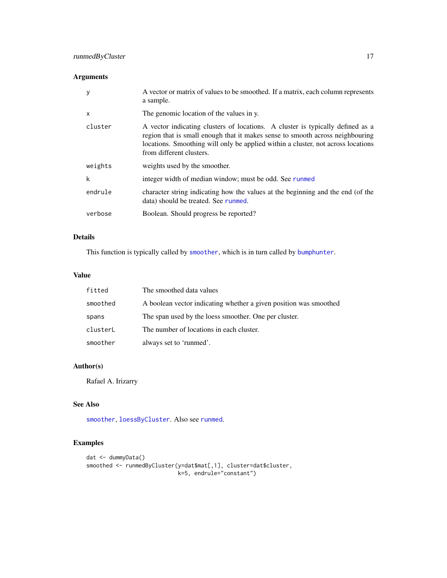# Arguments

| y            | A vector or matrix of values to be smoothed. If a matrix, each column represents<br>a sample.                                                                                                                                                                                   |
|--------------|---------------------------------------------------------------------------------------------------------------------------------------------------------------------------------------------------------------------------------------------------------------------------------|
| $\mathsf{x}$ | The genomic location of the values in y.                                                                                                                                                                                                                                        |
| cluster      | A vector indicating clusters of locations. A cluster is typically defined as a<br>region that is small enough that it makes sense to smooth across neighbouring<br>locations. Smoothing will only be applied within a cluster, not across locations<br>from different clusters. |
| weights      | weights used by the smoother.                                                                                                                                                                                                                                                   |
| k            | integer width of median window; must be odd. See runmed                                                                                                                                                                                                                         |
| endrule      | character string indicating how the values at the beginning and the end (of the<br>data) should be treated. See runmed.                                                                                                                                                         |
| verbose      | Boolean. Should progress be reported?                                                                                                                                                                                                                                           |

# Details

This function is typically called by [smoother](#page-17-1), which is in turn called by [bumphunter](#page-3-1).

# Value

| fitted   | The smoothed data values                                          |
|----------|-------------------------------------------------------------------|
| smoothed | A boolean vector indicating whether a given position was smoothed |
| spans    | The span used by the loess smoother. One per cluster.             |
| clusterL | The number of locations in each cluster.                          |
| smoother | always set to 'runmed'.                                           |

# Author(s)

Rafael A. Irizarry

# See Also

[smoother](#page-17-1), [loessByCluster](#page-12-1). Also see [runmed](#page-0-0).

# Examples

```
dat <- dummyData()
smoothed <- runmedByCluster(y=dat$mat[,1], cluster=dat$cluster,
                           k=5, endrule="constant")
```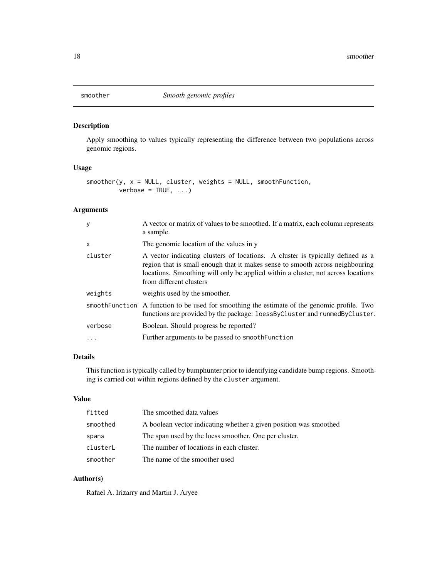<span id="page-17-1"></span><span id="page-17-0"></span>

# Description

Apply smoothing to values typically representing the difference between two populations across genomic regions.

# Usage

```
smoother(y, x = NULL, cluster, weights = NULL, smoothFunction,verbose = TRUE, ...)
```
# Arguments

| y            | A vector or matrix of values to be smoothed. If a matrix, each column represents<br>a sample.                                                                                                                                                                                  |
|--------------|--------------------------------------------------------------------------------------------------------------------------------------------------------------------------------------------------------------------------------------------------------------------------------|
| $\mathsf{x}$ | The genomic location of the values in y                                                                                                                                                                                                                                        |
| cluster      | A vector indicating clusters of locations. A cluster is typically defined as a<br>region that is small enough that it makes sense to smooth across neighbouring<br>locations. Smoothing will only be applied within a cluster, not across locations<br>from different clusters |
| weights      | weights used by the smoother.                                                                                                                                                                                                                                                  |
|              | smooth Function A function to be used for smoothing the estimate of the genomic profile. Two<br>functions are provided by the package: loessByCluster and runmedByCluster.                                                                                                     |
| verbose      | Boolean. Should progress be reported?                                                                                                                                                                                                                                          |
| $\ddotsc$    | Further arguments to be passed to smooth Function                                                                                                                                                                                                                              |
|              |                                                                                                                                                                                                                                                                                |

#### Details

This function is typically called by bumphunter prior to identifying candidate bump regions. Smoothing is carried out within regions defined by the cluster argument.

# Value

| fitted   | The smoothed data values                                          |
|----------|-------------------------------------------------------------------|
| smoothed | A boolean vector indicating whether a given position was smoothed |
| spans    | The span used by the loess smoother. One per cluster.             |
| clusterL | The number of locations in each cluster.                          |
| smoother | The name of the smoother used                                     |

# Author(s)

Rafael A. Irizarry and Martin J. Aryee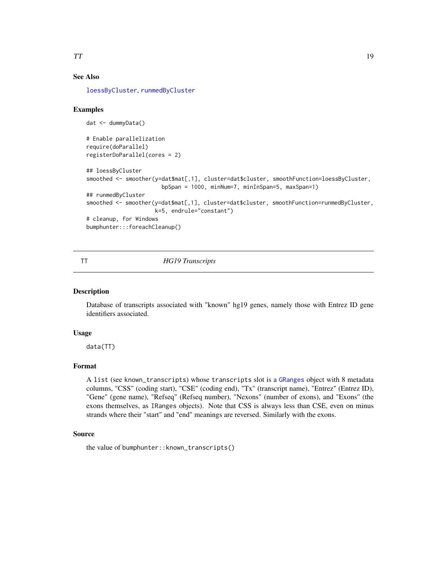# <span id="page-18-0"></span>See Also

[loessByCluster](#page-12-1), [runmedByCluster](#page-15-1)

## Examples

```
dat <- dummyData()
# Enable parallelization
require(doParallel)
registerDoParallel(cores = 2)
## loessByCluster
smoothed <- smoother(y=dat$mat[,1], cluster=dat$cluster, smoothFunction=loessByCluster,
                       bpSpan = 1000, minNum=7, minInSpan=5, maxSpan=1)
## runmedByCluster
smoothed <- smoother(y=dat$mat[,1], cluster=dat$cluster, smoothFunction=runmedByCluster,
                     k=5, endrule="constant")
# cleanup, for Windows
bumphunter:::foreachCleanup()
```
# <span id="page-18-1"></span>TT *HG19 Transcripts*

#### Description

Database of transcripts associated with "known" hg19 genes, namely those with Entrez ID gene identifiers associated.

#### Usage

data(TT)

#### Format

A list (see known\_transcripts) whose transcripts slot is a [GRanges](#page-0-0) object with 8 metadata columns, "CSS" (coding start), "CSE" (coding end), "Tx" (transcript name), "Entrez" (Entrez ID), "Gene" (gene name), "Refseq" (Refseq number), "Nexons" (number of exons), and "Exons" (the exons themselves, as IRanges objects). Note that CSS is always less than CSE, even on minus strands where their "start" and "end" meanings are reversed. Similarly with the exons.

# Source

the value of bumphunter::known\_transcripts()